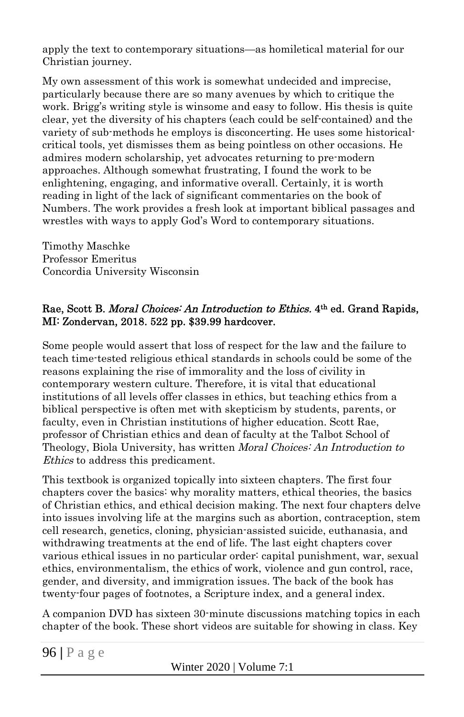apply the text to contemporary situations—as homiletical material for our Christian journey.

My own assessment of this work is somewhat undecided and imprecise, particularly because there are so many avenues by which to critique the work. Brigg's writing style is winsome and easy to follow. His thesis is quite clear, yet the diversity of his chapters (each could be self-contained) and the variety of sub-methods he employs is disconcerting. He uses some historicalcritical tools, yet dismisses them as being pointless on other occasions. He admires modern scholarship, yet advocates returning to pre-modern approaches. Although somewhat frustrating, I found the work to be enlightening, engaging, and informative overall. Certainly, it is worth reading in light of the lack of significant commentaries on the book of Numbers. The work provides a fresh look at important biblical passages and wrestles with ways to apply God's Word to contemporary situations.

Timothy Maschke Professor Emeritus Concordia University Wisconsin

## Rae, Scott B. Moral Choices: An Introduction to Ethics. 4<sup>th</sup> ed. Grand Rapids, MI: Zondervan, 2018. 522 pp. \$39.99 hardcover.

Some people would assert that loss of respect for the law and the failure to teach time-tested religious ethical standards in schools could be some of the reasons explaining the rise of immorality and the loss of civility in contemporary western culture. Therefore, it is vital that educational institutions of all levels offer classes in ethics, but teaching ethics from a biblical perspective is often met with skepticism by students, parents, or faculty, even in Christian institutions of higher education. Scott Rae, professor of Christian ethics and dean of faculty at the Talbot School of Theology, Biola University, has written Moral Choices: An Introduction to Ethics to address this predicament.

This textbook is organized topically into sixteen chapters. The first four chapters cover the basics: why morality matters, ethical theories, the basics of Christian ethics, and ethical decision making. The next four chapters delve into issues involving life at the margins such as abortion, contraception, stem cell research, genetics, cloning, physician-assisted suicide, euthanasia, and withdrawing treatments at the end of life. The last eight chapters cover various ethical issues in no particular order: capital punishment, war, sexual ethics, environmentalism, the ethics of work, violence and gun control, race, gender, and diversity, and immigration issues. The back of the book has twenty-four pages of footnotes, a Scripture index, and a general index.

A companion DVD has sixteen 30-minute discussions matching topics in each chapter of the book. These short videos are suitable for showing in class. Key

Winter 2020 | Volume 7:1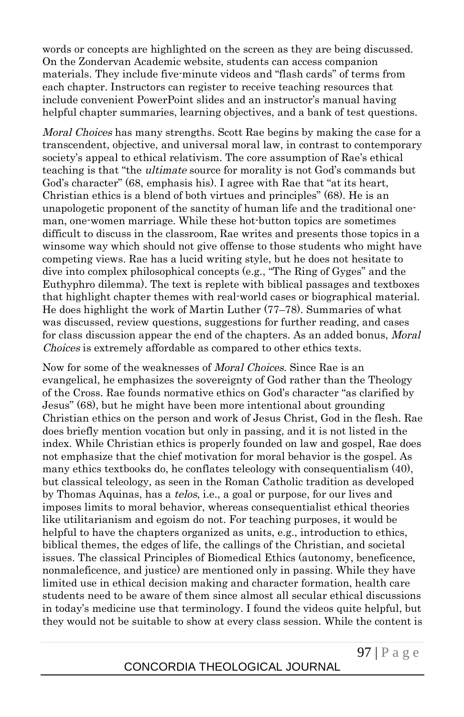words or concepts are highlighted on the screen as they are being discussed. On the Zondervan Academic website, students can access companion materials. They include five-minute videos and "flash cards" of terms from each chapter. Instructors can register to receive teaching resources that include convenient PowerPoint slides and an instructor's manual having helpful chapter summaries, learning objectives, and a bank of test questions.

Moral Choices has many strengths. Scott Rae begins by making the case for a transcendent, objective, and universal moral law, in contrast to contemporary society's appeal to ethical relativism. The core assumption of Rae's ethical teaching is that "the ultimate source for morality is not God's commands but God's character" (68, emphasis his). I agree with Rae that "at its heart, Christian ethics is a blend of both virtues and principles" (68). He is an unapologetic proponent of the sanctity of human life and the traditional oneman, one-women marriage. While these hot-button topics are sometimes difficult to discuss in the classroom, Rae writes and presents those topics in a winsome way which should not give offense to those students who might have competing views. Rae has a lucid writing style, but he does not hesitate to dive into complex philosophical concepts (e.g., "The Ring of Gyges" and the Euthyphro dilemma). The text is replete with biblical passages and textboxes that highlight chapter themes with real-world cases or biographical material. He does highlight the work of Martin Luther (77–78). Summaries of what was discussed, review questions, suggestions for further reading, and cases for class discussion appear the end of the chapters. As an added bonus, *Moral* Choices is extremely affordable as compared to other ethics texts.

Now for some of the weaknesses of Moral Choices. Since Rae is an evangelical, he emphasizes the sovereignty of God rather than the Theology of the Cross. Rae founds normative ethics on God's character "as clarified by Jesus" (68), but he might have been more intentional about grounding Christian ethics on the person and work of Jesus Christ, God in the flesh. Rae does briefly mention vocation but only in passing, and it is not listed in the index. While Christian ethics is properly founded on law and gospel, Rae does not emphasize that the chief motivation for moral behavior is the gospel. As many ethics textbooks do, he conflates teleology with consequentialism (40), but classical teleology, as seen in the Roman Catholic tradition as developed by Thomas Aquinas, has a *telos*, i.e., a goal or purpose, for our lives and imposes limits to moral behavior, whereas consequentialist ethical theories like utilitarianism and egoism do not. For teaching purposes, it would be helpful to have the chapters organized as units, e.g., introduction to ethics, biblical themes, the edges of life, the callings of the Christian, and societal issues. The classical Principles of Biomedical Ethics (autonomy, beneficence, nonmaleficence, and justice) are mentioned only in passing. While they have limited use in ethical decision making and character formation, health care students need to be aware of them since almost all secular ethical discussions in today's medicine use that terminology. I found the videos quite helpful, but they would not be suitable to show at every class session. While the content is